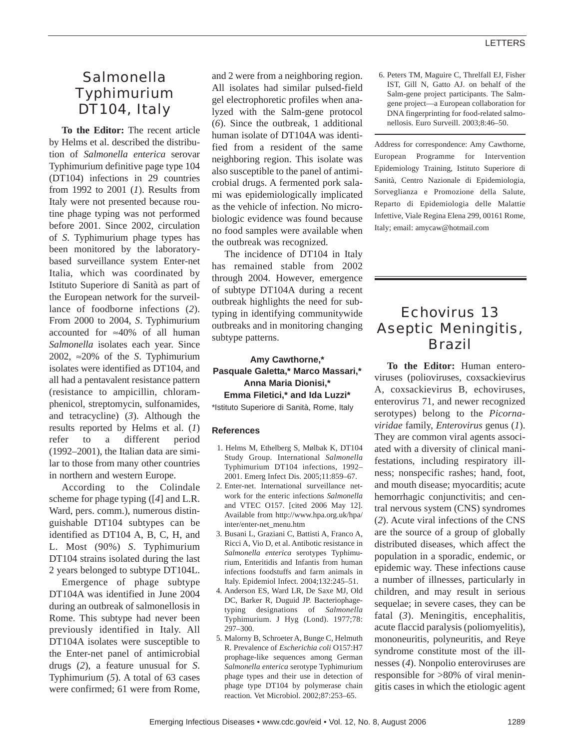# *Salmonella* Typhimurium DT104, Italy

**To the Editor:** The recent article by Helms et al. described the distribution of *Salmonella enterica* serovar Typhimurium definitive page type 104 (DT104) infections in 29 countries from 1992 to 2001 (*1*). Results from Italy were not presented because routine phage typing was not performed before 2001. Since 2002, circulation of *S*. Typhimurium phage types has been monitored by the laboratorybased surveillance system Enter-net Italia, which was coordinated by Istituto Superiore di Sanità as part of the European network for the surveillance of foodborne infections (*2*). From 2000 to 2004, *S*. Typhimurium accounted for ≈40% of all human *Salmonella* isolates each year. Since 2002, ≈20% of the *S*. Typhimurium isolates were identified as DT104, and all had a pentavalent resistance pattern (resistance to ampicillin, chloramphenicol, streptomycin, sulfonamides, and tetracycline) (*3*). Although the results reported by Helms et al. (*1*) refer to a different period (1992–2001), the Italian data are similar to those from many other countries in northern and western Europe.

According to the Colindale scheme for phage typing ([*4*] and L.R. Ward, pers. comm.), numerous distinguishable DT104 subtypes can be identified as DT104 A, B, C, H, and L. Most (90%) *S*. Typhimurium DT104 strains isolated during the last 2 years belonged to subtype DT104L.

Emergence of phage subtype DT104A was identified in June 2004 during an outbreak of salmonellosis in Rome. This subtype had never been previously identified in Italy. All DT104A isolates were susceptible to the Enter-net panel of antimicrobial drugs (*2*), a feature unusual for *S*. Typhimurium (*5*). A total of 63 cases were confirmed; 61 were from Rome, and 2 were from a neighboring region. All isolates had similar pulsed-field gel electrophoretic profiles when analyzed with the Salm-gene protocol (*6*). Since the outbreak, 1 additional human isolate of DT104A was identified from a resident of the same neighboring region. This isolate was also susceptible to the panel of antimicrobial drugs. A fermented pork salami was epidemiologically implicated as the vehicle of infection. No microbiologic evidence was found because no food samples were available when the outbreak was recognized.

The incidence of DT104 in Italy has remained stable from 2002 through 2004. However, emergence of subtype DT104A during a recent outbreak highlights the need for subtyping in identifying communitywide outbreaks and in monitoring changing subtype patterns.

## **Amy Cawthorne,\* Pasquale Galetta,\* Marco Massari,\* Anna Maria Dionisi,\* Emma Filetici,\* and Ida Luzzi\***

\*Istituto Superiore di Sanità, Rome, Italy

### **References**

- 1. Helms M, Ethelberg S, Mølbak K, DT104 Study Group. International *Salmonella* Typhimurium DT104 infections, 1992– 2001. Emerg Infect Dis. 2005;11:859–67.
- 2. Enter-net. International surveillance network for the enteric infections *Salmonella* and VTEC O157. [cited 2006 May 12]. Available from http://www.hpa.org.uk/hpa/ inter/enter-net\_menu.htm
- 3. Busani L, Graziani C, Battisti A, Franco A, Ricci A, Vio D, et al. Antibotic resistance in *Salmonella enterica* serotypes Typhimurium, Enteritidis and Infantis from human infections foodstuffs and farm animals in Italy. Epidemiol Infect. 2004;132:245–51.
- 4. Anderson ES, Ward LR, De Saxe MJ, Old DC, Barker R, Duguid JP. Bacteriophagetyping designations of *Salmonella* Typhimurium. J Hyg (Lond). 1977;78: 297–300.
- 5. Malorny B, Schroeter A, Bunge C, Helmuth R. Prevalence of *Escherichia coli* O157:H7 prophage-like sequences among German *Salmonella enterica* serotype Typhimurium phage types and their use in detection of phage type DT104 by polymerase chain reaction. Vet Microbiol. 2002;87:253–65.

6. Peters TM, Maguire C, Threlfall EJ, Fisher IST, Gill N, Gatto AJ. on behalf of the Salm-gene project participants. The Salmgene project—a European collaboration for DNA fingerprinting for food-related salmonellosis. Euro Surveill. 2003;8:46–50.

Address for correspondence: Amy Cawthorne, European Programme for Intervention Epidemiology Training, Istituto Superiore di Sanità, Centro Nazionale di Epidemiologia, Sorveglianza e Promozione della Salute, Reparto di Epidemiologia delle Malattie Infettive, Viale Regina Elena 299, 00161 Rome, Italy; email: amycaw@hotmail.com

# Echovirus 13 Aseptic Meningitis, Brazil

**To the Editor:** Human enteroviruses (polioviruses, coxsackievirus A, coxsackievirus B, echoviruses, enterovirus 71, and newer recognized serotypes) belong to the *Picornaviridae* family, *Enterovirus* genus (*1*). They are common viral agents associated with a diversity of clinical manifestations, including respiratory illness; nonspecific rashes; hand, foot, and mouth disease; myocarditis; acute hemorrhagic conjunctivitis; and central nervous system (CNS) syndromes (*2*). Acute viral infections of the CNS are the source of a group of globally distributed diseases, which affect the population in a sporadic, endemic, or epidemic way. These infections cause a number of illnesses, particularly in children, and may result in serious sequelae; in severe cases, they can be fatal (*3*). Meningitis, encephalitis, acute flaccid paralysis (poliomyelitis), mononeuritis, polyneuritis, and Reye syndrome constitute most of the illnesses (*4*). Nonpolio enteroviruses are responsible for >80% of viral meningitis cases in which the etiologic agent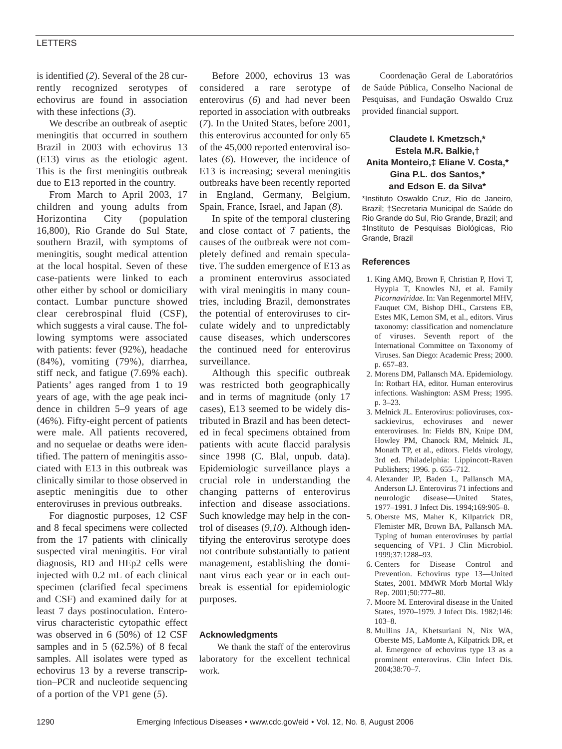#### LETTERS

is identified (*2*). Several of the 28 currently recognized serotypes of echovirus are found in association with these infections (*3*).

We describe an outbreak of aseptic meningitis that occurred in southern Brazil in 2003 with echovirus 13 (E13) virus as the etiologic agent. This is the first meningitis outbreak due to E13 reported in the country.

From March to April 2003, 17 children and young adults from Horizontina City (population 16,800), Rio Grande do Sul State, southern Brazil, with symptoms of meningitis, sought medical attention at the local hospital. Seven of these case-patients were linked to each other either by school or domiciliary contact. Lumbar puncture showed clear cerebrospinal fluid (CSF), which suggests a viral cause. The following symptoms were associated with patients: fever (92%), headache (84%), vomiting (79%), diarrhea, stiff neck, and fatigue (7.69% each). Patients' ages ranged from 1 to 19 years of age, with the age peak incidence in children 5–9 years of age (46%). Fifty-eight percent of patients were male. All patients recovered, and no sequelae or deaths were identified. The pattern of meningitis associated with E13 in this outbreak was clinically similar to those observed in aseptic meningitis due to other enteroviruses in previous outbreaks.

For diagnostic purposes, 12 CSF and 8 fecal specimens were collected from the 17 patients with clinically suspected viral meningitis. For viral diagnosis, RD and HEp2 cells were injected with 0.2 mL of each clinical specimen (clarified fecal specimens and CSF) and examined daily for at least 7 days postinoculation. Enterovirus characteristic cytopathic effect was observed in 6 (50%) of 12 CSF samples and in 5 (62.5%) of 8 fecal samples. All isolates were typed as echovirus 13 by a reverse transcription–PCR and nucleotide sequencing of a portion of the VP1 gene (*5*).

Before 2000, echovirus 13 was considered a rare serotype of enterovirus (*6*) and had never been reported in association with outbreaks (*7*). In the United States, before 2001, this enterovirus accounted for only 65 of the 45,000 reported enteroviral isolates (*6*). However, the incidence of E13 is increasing; several meningitis outbreaks have been recently reported in England, Germany, Belgium, Spain, France, Israel, and Japan (*8*).

In spite of the temporal clustering and close contact of 7 patients, the causes of the outbreak were not completely defined and remain speculative. The sudden emergence of E13 as a prominent enterovirus associated with viral meningitis in many countries, including Brazil, demonstrates the potential of enteroviruses to circulate widely and to unpredictably cause diseases, which underscores the continued need for enterovirus surveillance.

Although this specific outbreak was restricted both geographically and in terms of magnitude (only 17 cases), E13 seemed to be widely distributed in Brazil and has been detected in fecal specimens obtained from patients with acute flaccid paralysis since 1998 (C. Blal, unpub. data). Epidemiologic surveillance plays a crucial role in understanding the changing patterns of enterovirus infection and disease associations. Such knowledge may help in the control of diseases (*9*,*10*). Although identifying the enterovirus serotype does not contribute substantially to patient management, establishing the dominant virus each year or in each outbreak is essential for epidemiologic purposes.

#### **Acknowledgments**

We thank the staff of the enterovirus laboratory for the excellent technical work.

Coordenação Geral de Laboratórios de Saúde Pública, Conselho Nacional de Pesquisas, and Fundação Oswaldo Cruz provided financial support.

### **Claudete I. Kmetzsch,\* Estela M.R. Balkie,† Anita Monteiro,‡ Eliane V. Costa,\* Gina P.L. dos Santos,\* and Edson E. da Silva\***

\*Instituto Oswaldo Cruz, Rio de Janeiro, Brazil; †Secretaria Municipal de Saúde do Rio Grande do Sul, Rio Grande, Brazil; and ‡Instituto de Pesquisas Biológicas, Rio Grande, Brazil

#### **References**

- 1. King AMQ, Brown F, Christian P, Hovi T, Hyypia T, Knowles NJ, et al. Family *Picornaviridae*. In: Van Regenmortel MHV, Fauquet CM, Bishop DHL, Carstens EB, Estes MK, Lemon SM, et al., editors. Virus taxonomy: classification and nomenclature of viruses. Seventh report of the International Committee on Taxonomy of Viruses. San Diego: Academic Press; 2000. p. 657–83.
- 2. Morens DM, Pallansch MA. Epidemiology. In: Rotbart HA, editor. Human enterovirus infections. Washington: ASM Press; 1995. p. 3–23.
- 3. Melnick JL. Enterovirus: polioviruses, coxsackievirus, echoviruses and newer enteroviruses. In: Fields BN, Knipe DM, Howley PM, Chanock RM, Melnick JL, Monath TP, et al., editors. Fields virology, 3rd ed. Philadelphia: Lippincott-Raven Publishers; 1996. p. 655–712.
- 4. Alexander JP, Baden L, Pallansch MA, Anderson LJ. Enterovirus 71 infections and neurologic disease—United States, 1977–1991. J Infect Dis. 1994;169:905–8.
- 5. Oberste MS, Maher K, Kilpatrick DR, Flemister MR, Brown BA, Pallansch MA. Typing of human enteroviruses by partial sequencing of VP1. J Clin Microbiol. 1999;37:1288–93.
- 6. Centers for Disease Control and Prevention. Echovirus type 13—United States, 2001. MMWR Morb Mortal Wkly Rep. 2001;50:777–80.
- 7. Moore M. Enteroviral disease in the United States, 1970–1979. J Infect Dis. 1982;146: 103–8.
- 8. Mullins JA, Khetsuriani N, Nix WA, Oberste MS, LaMonte A, Kilpatrick DR, et al. Emergence of echovirus type 13 as a prominent enterovirus. Clin Infect Dis. 2004;38:70–7.